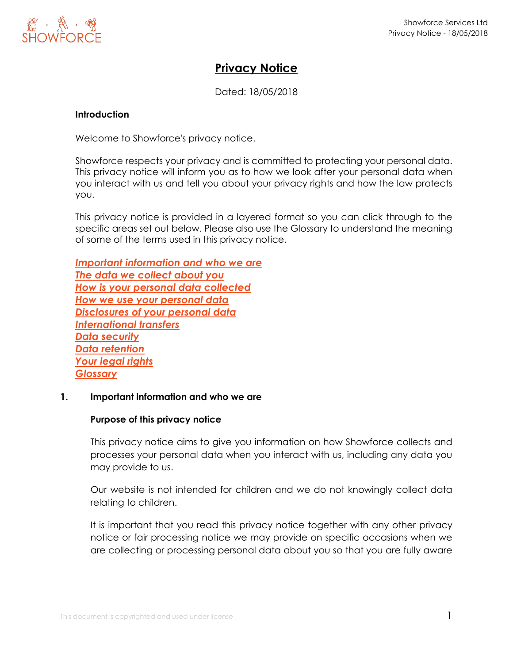

# **Privacy Notice**

Dated: 18/05/2018

#### **Introduction**

Welcome to Showforce's privacy notice.

Showforce respects your privacy and is committed to protecting your personal data. This privacy notice will inform you as to how we look after your personal data when you interact with us and tell you about your privacy rights and how the law protects you.

This privacy notice is provided in a layered format so you can click through to the specific areas set out below. Please also use the Glossary to understand the meaning of some of the terms used in this privacy notice.

*Important information and who we are [The data we collect about you](#page-2-0) [How is your personal data collected](#page-3-0) [How we use your personal data](#page-4-0) [Disclosures of your personal data](#page-8-0) [International transfers](#page-8-0) [Data security](#page-9-0) [Data retention](#page-9-0) [Your legal rights](#page-10-0) [Glossary](#page-11-0)*

#### **1. Important information and who we are**

#### **Purpose of this privacy notice**

This privacy notice aims to give you information on how Showforce collects and processes your personal data when you interact with us, including any data you may provide to us.

Our website is not intended for children and we do not knowingly collect data relating to children.

It is important that you read this privacy notice together with any other privacy notice or fair processing notice we may provide on specific occasions when we are collecting or processing personal data about you so that you are fully aware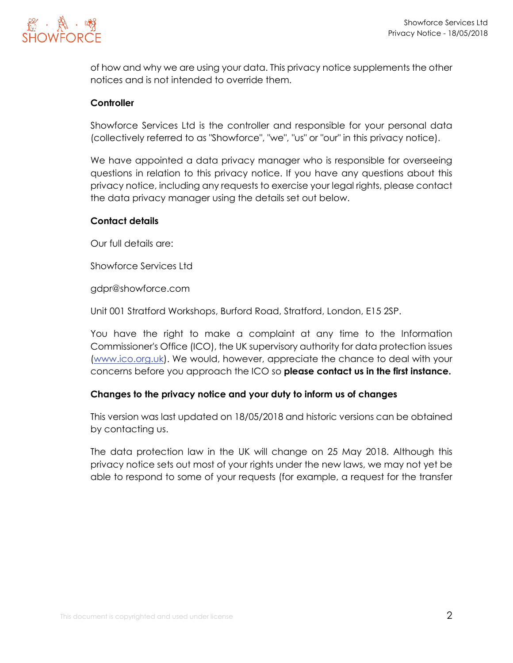

of how and why we are using your data. This privacy notice supplements the other notices and is not intended to override them.

#### **Controller**

Showforce Services Ltd is the controller and responsible for your personal data (collectively referred to as "Showforce", "we", "us" or "our" in this privacy notice).

We have appointed a data privacy manager who is responsible for overseeing questions in relation to this privacy notice. If you have any questions about this privacy notice, including any requests to exercise your legal rights, please contact the data privacy manager using the details set out below.

#### **Contact details**

Our full details are:

Showforce Services Ltd

gdpr@showforce.com

Unit 001 Stratford Workshops, Burford Road, Stratford, London, E15 2SP.

You have the right to make a complaint at any time to the Information Commissioner's Office (ICO), the UK supervisory authority for data protection issues (www.ico.org.uk). We would, however, appreciate the chance to deal with your concerns before you approach the ICO so **please contact us in the first instance.** 

#### **Changes to the privacy notice and your duty to inform us of changes**

This version was last updated on 18/05/2018 and historic versions can be obtained by contacting us.

The data protection law in the UK will change on 25 May 2018. Although this privacy notice sets out most of your rights under the new laws, we may not yet be able to respond to some of your requests (for example, a request for the transfer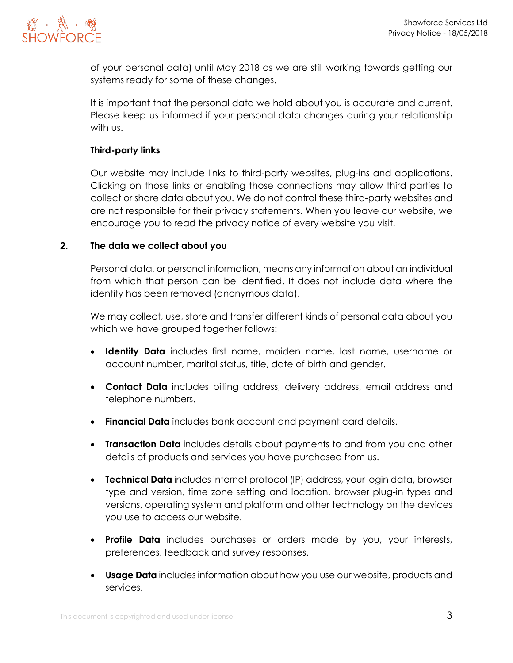<span id="page-2-0"></span>

of your personal data) until May 2018 as we are still working towards getting our systems ready for some of these changes.

It is important that the personal data we hold about you is accurate and current. Please keep us informed if your personal data changes during your relationship with us.

#### **Third-party links**

Our website may include links to third-party websites, plug-ins and applications. Clicking on those links or enabling those connections may allow third parties to collect or share data about you. We do not control these third-party websites and are not responsible for their privacy statements. When you leave our website, we encourage you to read the privacy notice of every website you visit.

#### **2. The data we collect about you**

Personal data, or personal information, means any information about an individual from which that person can be identified. It does not include data where the identity has been removed (anonymous data).

We may collect, use, store and transfer different kinds of personal data about you which we have grouped together follows:

- **Identity Data** includes first name, maiden name, last name, username or account number, marital status, title, date of birth and gender.
- **Contact Data** includes billing address, delivery address, email address and telephone numbers.
- **Financial Data** includes bank account and payment card details.
- **Transaction Data** includes details about payments to and from you and other details of products and services you have purchased from us.
- **Technical Data** includes internet protocol (IP) address, your login data, browser type and version, time zone setting and location, browser plug-in types and versions, operating system and platform and other technology on the devices you use to access our website.
- **Profile Data** includes purchases or orders made by you, your interests, preferences, feedback and survey responses.
- **Usage Data** includes information about how you use our website, products and services.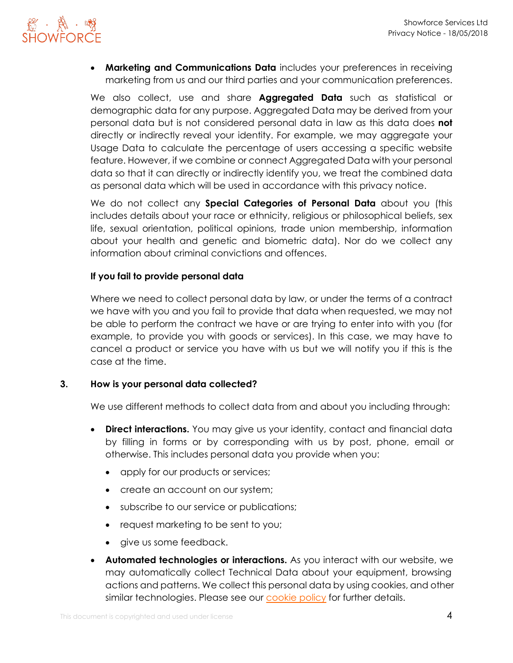<span id="page-3-0"></span>

• **Marketing and Communications Data** includes your preferences in receiving marketing from us and our third parties and your communication preferences.

We also collect, use and share **Aggregated Data** such as statistical or demographic data for any purpose. Aggregated Data may be derived from your personal data but is not considered personal data in law as this data does **not** directly or indirectly reveal your identity. For example, we may aggregate your Usage Data to calculate the percentage of users accessing a specific website feature. However, if we combine or connect Aggregated Data with your personal data so that it can directly or indirectly identify you, we treat the combined data as personal data which will be used in accordance with this privacy notice.

We do not collect any **Special Categories of Personal Data** about you (this includes details about your race or ethnicity, religious or philosophical beliefs, sex life, sexual orientation, political opinions, trade union membership, information about your health and genetic and biometric data). Nor do we collect any information about criminal convictions and offences.

#### **If you fail to provide personal data**

Where we need to collect personal data by law, or under the terms of a contract we have with you and you fail to provide that data when requested, we may not be able to perform the contract we have or are trying to enter into with you (for example, to provide you with goods or services). In this case, we may have to cancel a product or service you have with us but we will notify you if this is the case at the time.

#### **3. How is your personal data collected?**

We use different methods to collect data from and about you including through:

- **Direct interactions.** You may give us your identity, contact and financial data by filling in forms or by corresponding with us by post, phone, email or otherwise. This includes personal data you provide when you:
	- apply for our products or services;
	- create an account on our system;
	- subscribe to our service or publications;
	- request marketing to be sent to you;
	- give us some feedback.
- **Automated technologies or interactions.** As you interact with our website, we may automatically collect Technical Data about your equipment, browsing actions and patterns. We collect this personal data by using cookies, and other similar technologies. Please see our [cookie policy](http://www.showforce.com/cookie-policy/) for further details.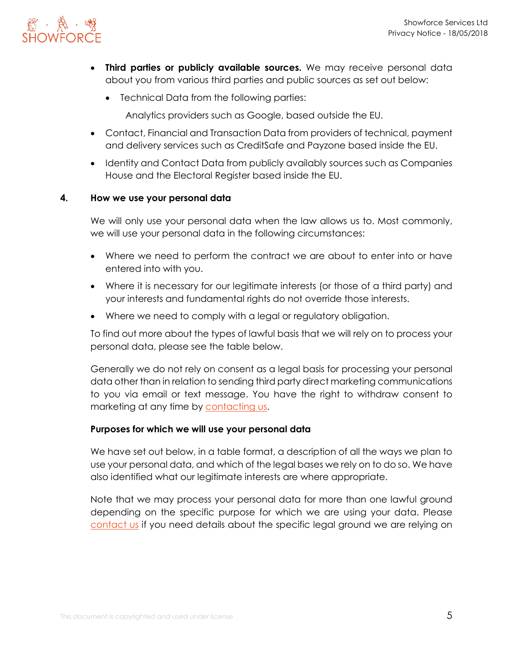<span id="page-4-0"></span>

- **Third parties or publicly available sources.** We may receive personal data about you from various third parties and public sources as set out below:
	- Technical Data from the following parties:

Analytics providers such as Google, based outside the EU.

- Contact, Financial and Transaction Data from providers of technical, payment and delivery services such as CreditSafe and Payzone based inside the EU.
- Identity and Contact Data from publicly availably sources such as Companies House and the Electoral Register based inside the EU.

#### **4. How we use your personal data**

We will only use your personal data when the law allows us to. Most commonly, we will use your personal data in the following circumstances:

- Where we need to perform the contract we are about to enter into or have entered into with you.
- Where it is necessary for our legitimate interests (or those of a third party) and your interests and fundamental rights do not override those interests.
- Where we need to comply with a legal or regulatory obligation.

To find out more about the types of lawful basis that we will rely on to process your personal data, please see the table below.

Generally we do not rely on consent as a legal basis for processing your personal data other than in relation to sending third party direct marketing communications to you via email or text message. You have the right to withdraw consent to marketing at any time by [contacting us.](mailto:gdpr@showforce.com)

#### **Purposes for which we will use your personal data**

We have set out below, in a table format, a description of all the ways we plan to use your personal data, and which of the legal bases we rely on to do so. We have also identified what our legitimate interests are where appropriate.

Note that we may process your personal data for more than one lawful ground depending on the specific purpose for which we are using your data. Please [contact](mailto:gdpr@showforce.com) us if you need details about the specific legal ground we are relying on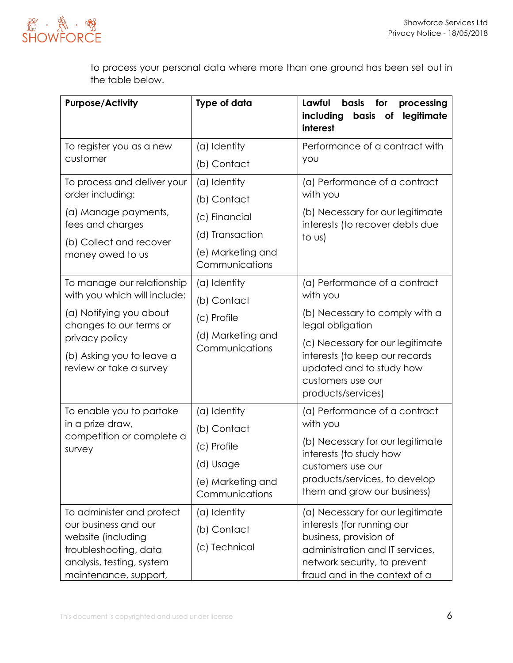

to process your personal data where more than one ground has been set out in the table below.

| <b>Purpose/Activity</b>                                 | Type of data                        | Lawful<br>basis<br>for<br>processing<br>including<br>basis of<br>legitimate<br>interest                                                                     |  |  |
|---------------------------------------------------------|-------------------------------------|-------------------------------------------------------------------------------------------------------------------------------------------------------------|--|--|
| To register you as a new<br>customer                    | (a) Identity                        | Performance of a contract with<br><b>YOU</b>                                                                                                                |  |  |
|                                                         | (b) Contact                         |                                                                                                                                                             |  |  |
| To process and deliver your<br>order including:         | (a) Identity                        | (a) Performance of a contract<br>with you                                                                                                                   |  |  |
|                                                         | (b) Contact                         |                                                                                                                                                             |  |  |
| (a) Manage payments,<br>fees and charges                | (c) Financial                       | (b) Necessary for our legitimate<br>interests (to recover debts due                                                                                         |  |  |
| (b) Collect and recover                                 | (d) Transaction                     | $\frac{1}{2}$                                                                                                                                               |  |  |
| money owed to us                                        | (e) Marketing and<br>Communications |                                                                                                                                                             |  |  |
| To manage our relationship                              | (a) Identity                        | (a) Performance of a contract<br>with you<br>(b) Necessary to comply with a<br>legal obligation                                                             |  |  |
| with you which will include:                            | (b) Contact                         |                                                                                                                                                             |  |  |
| (a) Notifying you about<br>changes to our terms or      | (c) Profile                         |                                                                                                                                                             |  |  |
| privacy policy                                          | (d) Marketing and<br>Communications | (c) Necessary for our legitimate<br>interests (to keep our records<br>updated and to study how<br>customers use our<br>products/services)                   |  |  |
| (b) Asking you to leave a                               |                                     |                                                                                                                                                             |  |  |
| review or take a survey                                 |                                     |                                                                                                                                                             |  |  |
|                                                         |                                     |                                                                                                                                                             |  |  |
| To enable you to partake                                | (a) Identity                        | (a) Performance of a contract                                                                                                                               |  |  |
| in a prize draw,<br>competition or complete a<br>survey | (b) Contact                         | with you                                                                                                                                                    |  |  |
|                                                         | (c) Profile                         | (b) Necessary for our legitimate<br>interests (to study how<br>customers use our<br>products/services, to develop<br>them and grow our business)            |  |  |
|                                                         | (d) Usage                           |                                                                                                                                                             |  |  |
|                                                         | (e) Marketing and<br>Communications |                                                                                                                                                             |  |  |
| To administer and protect                               | (a) Identity                        | (a) Necessary for our legitimate<br>interests (for running our<br>business, provision of<br>administration and IT services,<br>network security, to prevent |  |  |
| our business and our<br>website (including              | (b) Contact                         |                                                                                                                                                             |  |  |
| troubleshooting, data                                   | (c) Technical                       |                                                                                                                                                             |  |  |
| analysis, testing, system                               |                                     |                                                                                                                                                             |  |  |
| maintenance, support,                                   |                                     | fraud and in the context of a                                                                                                                               |  |  |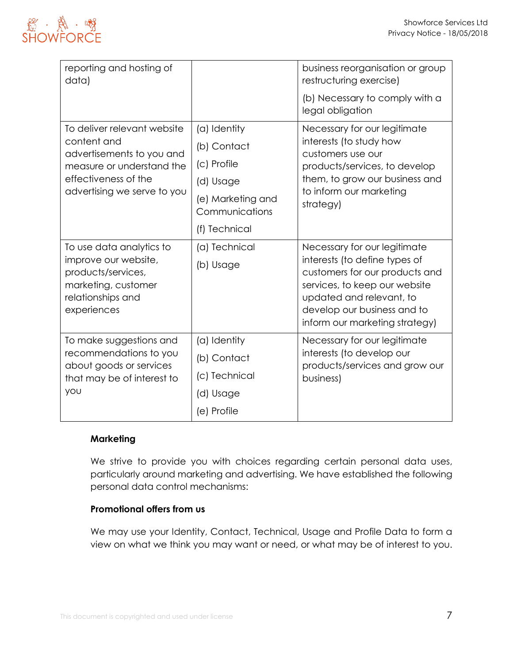

| reporting and hosting of<br>data)                                                                                                                           |                                                                                                                 | business reorganisation or group<br>restructuring exercise)                                                                                                                                                                   |  |
|-------------------------------------------------------------------------------------------------------------------------------------------------------------|-----------------------------------------------------------------------------------------------------------------|-------------------------------------------------------------------------------------------------------------------------------------------------------------------------------------------------------------------------------|--|
|                                                                                                                                                             |                                                                                                                 | (b) Necessary to comply with a<br>legal obligation                                                                                                                                                                            |  |
| To deliver relevant website<br>content and<br>advertisements to you and<br>measure or understand the<br>effectiveness of the<br>advertising we serve to you | (a) Identity<br>(b) Contact<br>(c) Profile<br>(d) Usage<br>(e) Marketing and<br>Communications<br>(f) Technical | Necessary for our legitimate<br>interests (to study how<br>customers use our<br>products/services, to develop<br>them, to grow our business and<br>to inform our marketing<br>strategy)                                       |  |
| To use data analytics to<br>improve our website,<br>products/services,<br>marketing, customer<br>relationships and<br>experiences                           | (a) Technical<br>(b) Usage                                                                                      | Necessary for our legitimate<br>interests (to define types of<br>customers for our products and<br>services, to keep our website<br>updated and relevant, to<br>develop our business and to<br>inform our marketing strategy) |  |
| To make suggestions and<br>recommendations to you<br>about goods or services<br>that may be of interest to<br>you                                           | (a) Identity<br>(b) Contact<br>(c) Technical<br>(d) Usage<br>(e) Profile                                        | Necessary for our legitimate<br>interests (to develop our<br>products/services and grow our<br>business)                                                                                                                      |  |

#### **Marketing**

We strive to provide you with choices regarding certain personal data uses, particularly around marketing and advertising. We have established the following personal data control mechanisms:

#### **Promotional offers from us**

We may use your Identity, Contact, Technical, Usage and Profile Data to form a view on what we think you may want or need, or what may be of interest to you.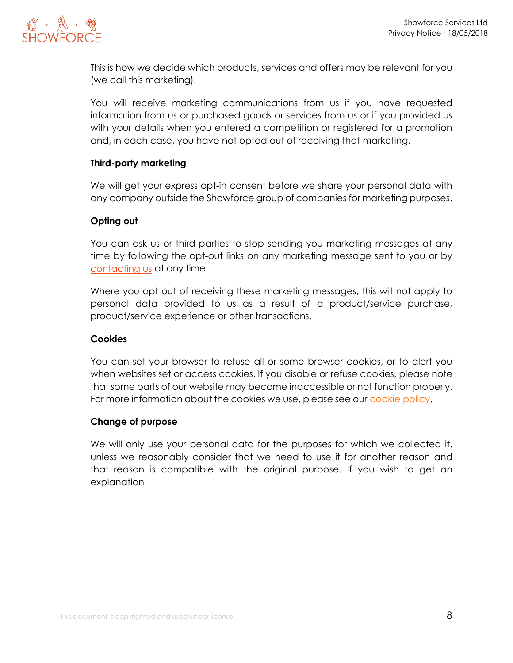

This is how we decide which products, services and offers may be relevant for you (we call this marketing).

You will receive marketing communications from us if you have requested information from us or purchased goods or services from us or if you provided us with your details when you entered a competition or registered for a promotion and, in each case, you have not opted out of receiving that marketing.

#### **Third-party marketing**

We will get your express opt-in consent before we share your personal data with any company outside the Showforce group of companies for marketing purposes.

#### **Opting out**

You can ask us or third parties to stop sending you marketing messages at any time by following the opt-out links on any marketing message sent to you or by [contacting us](mailto:gdpr@showforce.com) at any time.

Where you opt out of receiving these marketing messages, this will not apply to personal data provided to us as a result of a product/service purchase, product/service experience or other transactions.

#### **Cookies**

You can set your browser to refuse all or some browser cookies, or to alert you when websites set or access cookies. If you disable or refuse cookies, please note that some parts of our website may become inaccessible or not function properly. For more information about the cookies we use, please see our [cookie policy.](http://www.showforce.com/cookie-policy/)

#### **Change of purpose**

We will only use your personal data for the purposes for which we collected it, unless we reasonably consider that we need to use it for another reason and that reason is compatible with the original purpose. If you wish to get an explanation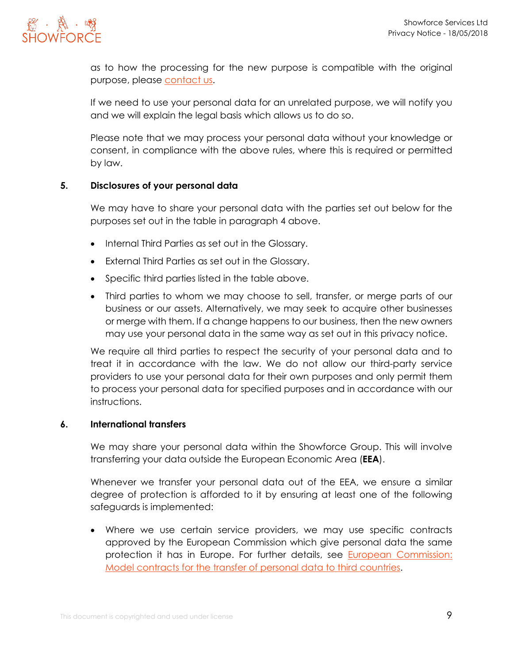<span id="page-8-0"></span>

as to how the processing for the new purpose is compatible with the original purpose, please [contact](mailto:gdpr@showforce.com) us.

If we need to use your personal data for an unrelated purpose, we will notify you and we will explain the legal basis which allows us to do so.

Please note that we may process your personal data without your knowledge or consent, in compliance with the above rules, where this is required or permitted by law.

#### **5. Disclosures of your personal data**

We may have to share your personal data with the parties set out below for the purposes set out in the table in paragraph 4 above.

- Internal Third Parties as set out in the Glossary.
- External Third Parties as set out in the Glossary.
- Specific third parties listed in the table above.
- Third parties to whom we may choose to sell, transfer, or merge parts of our business or our assets. Alternatively, we may seek to acquire other businesses or merge with them. If a change happens to our business, then the new owners may use your personal data in the same way as set out in this privacy notice.

We require all third parties to respect the security of your personal data and to treat it in accordance with the law. We do not allow our third-party service providers to use your personal data for their own purposes and only permit them to process your personal data for specified purposes and in accordance with our instructions.

#### **6. International transfers**

We may share your personal data within the Showforce Group. This will involve transferring your data outside the European Economic Area (**EEA**).

Whenever we transfer your personal data out of the EEA, we ensure a similar degree of protection is afforded to it by ensuring at least one of the following safeguards is implemented:

• Where we use certain service providers, we may use specific contracts approved by the European Commission which give personal data the same protection it has in Europe. For further details, see [European Commission:](https://ec.europa.eu/info/law/law-topic/data-protection/data-transfers-outside-eu/model-contracts-transfer-personal-data-third-countries_en)  [Model contracts for the transfer of personal data to third countries.](https://ec.europa.eu/info/law/law-topic/data-protection/data-transfers-outside-eu/model-contracts-transfer-personal-data-third-countries_en)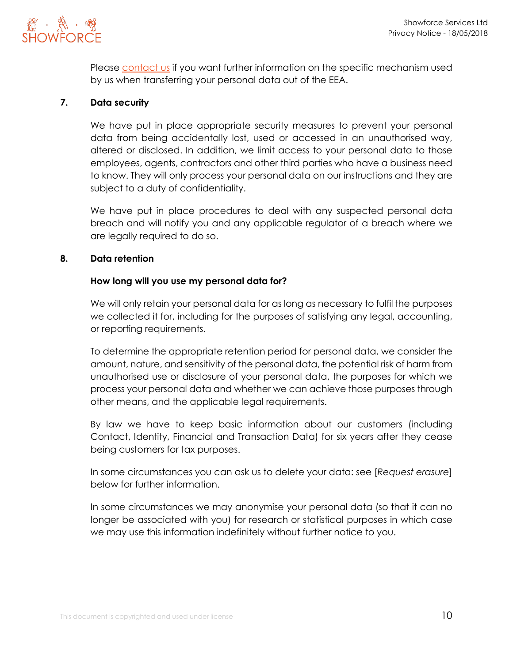<span id="page-9-0"></span>

Please [contact](mailto:gdpr@showforce.com) us if you want further information on the specific mechanism used by us when transferring your personal data out of the EEA.

#### **7. Data security**

We have put in place appropriate security measures to prevent your personal data from being accidentally lost, used or accessed in an unauthorised way, altered or disclosed. In addition, we limit access to your personal data to those employees, agents, contractors and other third parties who have a business need to know. They will only process your personal data on our instructions and they are subject to a duty of confidentiality.

We have put in place procedures to deal with any suspected personal data breach and will notify you and any applicable regulator of a breach where we are legally required to do so.

#### **8. Data retention**

#### **How long will you use my personal data for?**

We will only retain your personal data for as long as necessary to fulfil the purposes we collected it for, including for the purposes of satisfying any legal, accounting, or reporting requirements.

To determine the appropriate retention period for personal data, we consider the amount, nature, and sensitivity of the personal data, the potential risk of harm from unauthorised use or disclosure of your personal data, the purposes for which we process your personal data and whether we can achieve those purposes through other means, and the applicable legal requirements.

By law we have to keep basic information about our customers (including Contact, Identity, Financial and Transaction Data) for six years after they cease being customers for tax purposes.

In some circumstances you can ask us to delete your data: see [*Request erasure*] below for further information.

In some circumstances we may anonymise your personal data (so that it can no longer be associated with you) for research or statistical purposes in which case we may use this information indefinitely without further notice to you.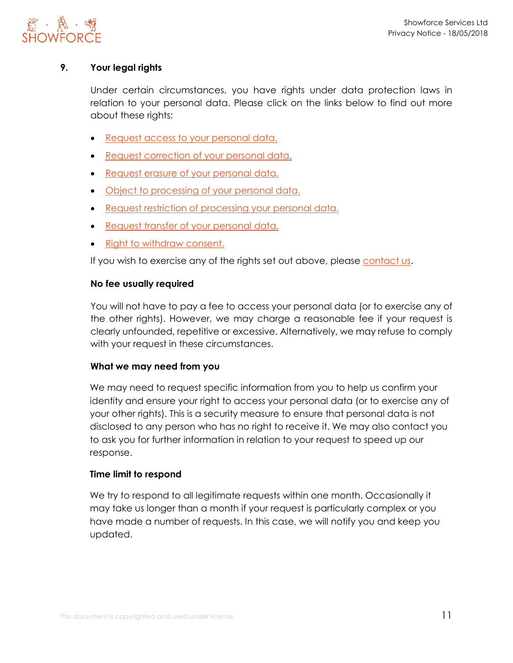<span id="page-10-0"></span>

# **9. Your legal rights**

Under certain circumstances, you have rights under data protection laws in relation to your personal data. Please click on the links below to find out more about these rights:

- [Request access to your personal data.](#page-12-0)
- [Request correction of your personal data.](#page-12-0)
- [Request erasure of your personal data.](#page-12-0)
- [Object to processing of your personal data.](#page-12-0)
- [Request restriction of processing your personal data.](#page-12-0)
- [Request transfer of your personal data.](#page-12-0)
- [Right to withdraw consent.](#page-12-0)

If you wish to exercise any of the rights set out above, please [contact](mailto:gdpr@showforce.com) us.

#### **No fee usually required**

You will not have to pay a fee to access your personal data (or to exercise any of the other rights). However, we may charge a reasonable fee if your request is clearly unfounded, repetitive or excessive. Alternatively, we may refuse to comply with your request in these circumstances.

#### **What we may need from you**

We may need to request specific information from you to help us confirm your identity and ensure your right to access your personal data (or to exercise any of your other rights). This is a security measure to ensure that personal data is not disclosed to any person who has no right to receive it. We may also contact you to ask you for further information in relation to your request to speed up our response.

# **Time limit to respond**

We try to respond to all legitimate requests within one month. Occasionally it may take us longer than a month if your request is particularly complex or you have made a number of requests. In this case, we will notify you and keep you updated.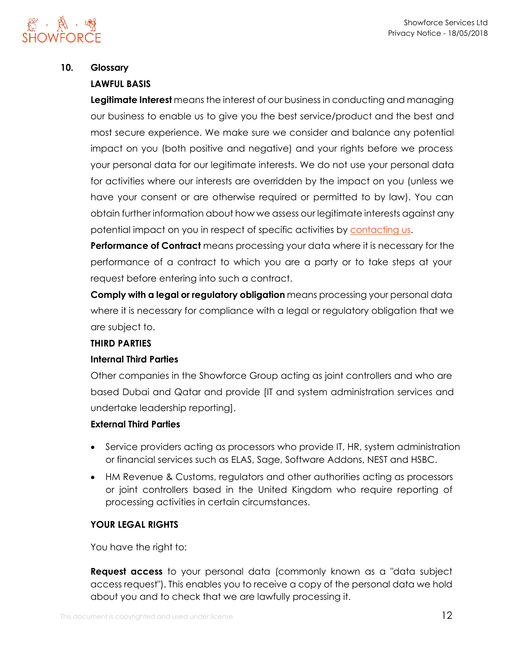<span id="page-11-0"></span>

# **10. Glossary**

# **LAWFUL BASIS**

**Legitimate Interest** means the interest of our business in conducting and managing our business to enable us to give you the best service/product and the best and most secure experience. We make sure we consider and balance any potential impact on you (both positive and negative) and your rights before we process your personal data for our legitimate interests. We do not use your personal data for activities where our interests are overridden by the impact on you (unless we have your consent or are otherwise required or permitted to by law). You can obtain further information about how we assess our legitim[ate interests](mailto:gdpr@showforce.com) against any potential impact on you in respect of specific activities by contacting us.

**Performance of Contract** means processing your data where it is necessary for the performance of a contract to which you are a party or to take steps at your request before entering into such a contract.

**Comply with a legal or regulatory obligation** means processing your personal data where it is necessary for compliance with a legal or regulatory obligation that we are subject to.

# **THIRD PARTIES**

# **Internal Third Parties**

Other companies in the Showforce Group acting as joint controllers and who are based Dubai and Qatar and provide [IT and system administration services and undertake leadership reporting].

# **External Third Parties**

- Service providers acting as processors who provide IT, HR, system administration or financial services such as ELAS, Sage, Software Addons, NEST and HSBC.
- HM Revenue & Customs, regulators and other authorities acting as processors or joint controllers based in the United Kingdom who require reporting of processing activities in certain circumstances.

# **YOUR LEGAL RIGHTS**

You have the right to:

**Request access** to your personal data (commonly known as a "data subject access request"). This enables you to receive a copy of the personal data we hold about you and to check that we are lawfully processing it.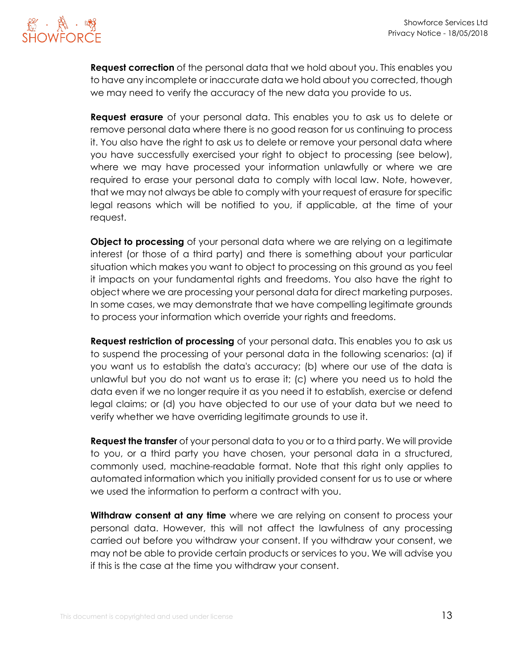<span id="page-12-0"></span>

**Request correction** of the personal data that we hold about you. This enables you to have any incomplete or inaccurate data we hold about you corrected, though we may need to verify the accuracy of the new data you provide to us.

**Request erasure** of your personal data. This enables you to ask us to delete or remove personal data where there is no good reason for us continuing to process it. You also have the right to ask us to delete or remove your personal data where you have successfully exercised your right to object to processing (see below), where we may have processed your information unlawfully or where we are required to erase your personal data to comply with local law. Note, however, that we may not always be able to comply with your request of erasure for specific legal reasons which will be notified to you, if applicable, at the time of your request.

**Object to processing** of your personal data where we are relying on a legitimate interest (or those of a third party) and there is something about your particular situation which makes you want to object to processing on this ground as you feel it impacts on your fundamental rights and freedoms. You also have the right to object where we are processing your personal data for direct marketing purposes. In some cases, we may demonstrate that we have compelling legitimate grounds to process your information which override your rights and freedoms.

**Request restriction of processing** of your personal data. This enables you to ask us to suspend the processing of your personal data in the following scenarios: (a) if you want us to establish the data's accuracy; (b) where our use of the data is unlawful but you do not want us to erase it; (c) where you need us to hold the data even if we no longer require it as you need it to establish, exercise or defend legal claims; or (d) you have objected to our use of your data but we need to verify whether we have overriding legitimate grounds to use it.

**Request the transfer** of your personal data to you or to a third party. We will provide to you, or a third party you have chosen, your personal data in a structured, commonly used, machine-readable format. Note that this right only applies to automated information which you initially provided consent for us to use or where we used the information to perform a contract with you.

**Withdraw consent at any time** where we are relying on consent to process your personal data. However, this will not affect the lawfulness of any processing carried out before you withdraw your consent. If you withdraw your consent, we may not be able to provide certain products or services to you. We will advise you if this is the case at the time you withdraw your consent.